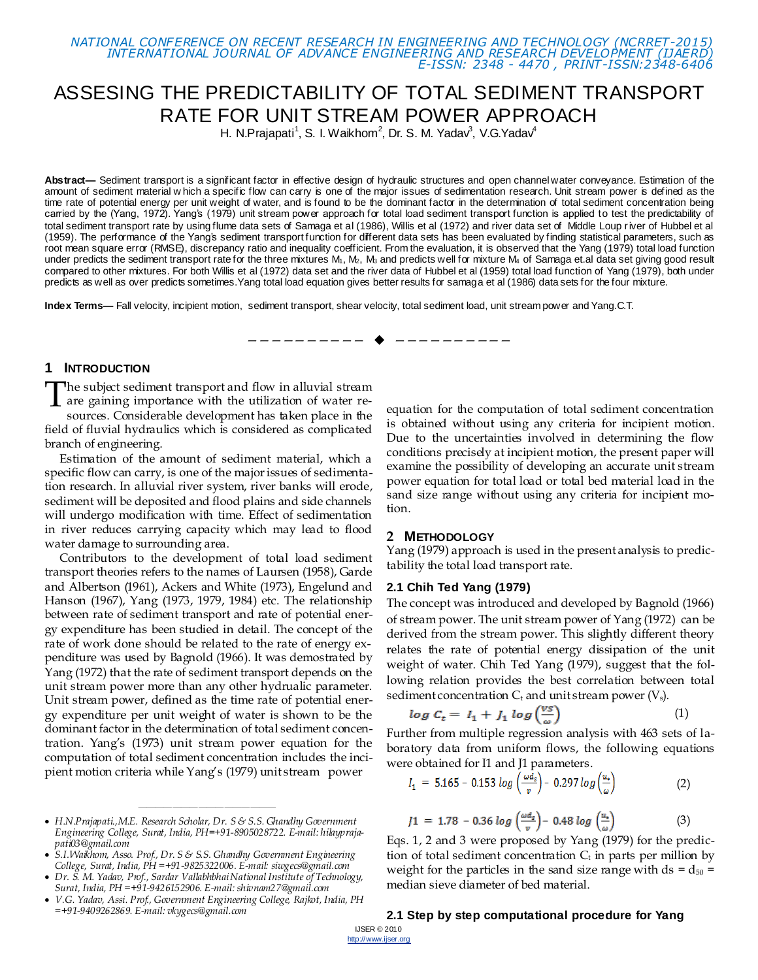*NATIONAL CONFERENCE ON RECENT RESEARCH IN ENGINEERING AND TECHNOLOGY (NCRRET-2015) INTERNATIONAL JOURNAL OF ADVANCE ENGINEERING AND RESEARCH DEVELOPMENT (IJAERD) E-ISSN: 2348 - 4470 , PRINT-ISSN:2348-6406*

# ASSESING THE PREDICTABILITY OF TOTAL SEDIMENT TRANSPORT RATE FOR UNIT STREAM POWER APPROACH

H. N.Prajapati<sup>1</sup>, S. I. Waikhom<sup>2</sup>, Dr. S. M. Yadav<sup>3</sup>, V.G.Yadav<sup>4</sup>

**Abstract—** Sediment transport is a significant factor in effective design of hydraulic structures and open channel water conveyance. Estimation of the amount of sediment material w hich a specific flow can carry is one of the major issues of sedimentation research. Unit stream power is defined as the time rate of potential energy per unit weight of water, and is found to be the dominant factor in the determination of total sediment concentration being carried by the (Yang, 1972). Yang's (1979) unit stream power approach for total load sediment transport function is applied to test the predictability of total sediment transport rate by using flume data sets of Samaga et al (1986), Willis et al (1972) and river data set of Middle Loup river of Hubbel et al (1959). The performance of the Yang's sediment transport function for different data sets has been evaluated by finding statistical parameters, such as root mean square error (RMSE), discrepancy ratio and inequality coefficient. From the evaluation, it is observed that the Yang (1979) total load function under predicts the sediment transport rate for the three mixtures M<sub>1</sub>, M<sub>2</sub>, M<sub>3</sub> and predicts well for mixture M<sub>4</sub> of Samaga et.al data set giving good result compared to other mixtures. For both Willis et al (1972) data set and the river data of Hubbel et al (1959) total load function of Yang (1979), both under predicts as well as over predicts sometimes.Yang total load equation gives better results for samaga et al (1986) data sets for the four mixture.

—————————— ——————————

**Index Terms—** Fall velocity, incipient motion, sediment transport, shear velocity, total sediment load, unit stream power and Yang.C.T.

### **1 INTRODUCTION**

The subject sediment transport and flow in alluvial stream The subject sediment transport and flow in alluvial stream<br>are gaining importance with the utilization of water re-<br>segures Considerable development has blen place in the

sources. Considerable development has taken place in the field of fluvial hydraulics which is considered as complicated branch of engineering.

Estimation of the amount of sediment material, which a specific flow can carry, is one of the major issues of sedimentation research. In alluvial river system, river banks will erode, sediment will be deposited and flood plains and side channels will undergo modification with time. Effect of sedimentation in river reduces carrying capacity which may lead to flood water damage to surrounding area.

Contributors to the development of total load sediment transport theories refers to the names of Laursen (1958), Garde and Albertson (1961), Ackers and White (1973), Engelund and Hanson (1967), Yang (1973, 1979, 1984) etc. The relationship between rate of sediment transport and rate of potential energy expenditure has been studied in detail. The concept of the rate of work done should be related to the rate of energy expenditure was used by Bagnold (1966). It was demostrated by Yang (1972) that the rate of sediment transport depends on the unit stream power more than any other hydrualic parameter. Unit stream power, defined as the time rate of potential energy expenditure per unit weight of water is shown to be the dominant factor in the determination of total sediment concentration. Yang's (1973) unit stream power equation for the computation of total sediment concentration includes the incipient motion criteria while Yang's (1979) unit stream power

 *H.N.Prajapati.,M.E. Research Scholar, Dr. S & S.S. Ghandhy Government Engineering College, Surat, India, PH=+91-8905028722. E-mail: hilayprajapati03@gmail.com*

————————————————

 *S.I.Waikhom, Asso. Prof., Dr. S & S.S. Ghandhy Government Engineering College, Surat, India, PH =+91-9825322006. E-mail[: siwgecs@gmail.com](mailto:siwgecs@gmail.com)*

 *Dr. S. M. Yadav, Prof., Sardar Vallabhbhai National Institute of Technology, Surat, India, PH =+91-9426152906. E-mail: shivnam27@gmail.com*

 *V.G. Yadav, Assi. Prof., Government Engineering College, Rajkot, India, PH =+91-9409262869. E-mail[: vkygecs@gmail.com](mailto:vkygecs@gmail.com)*

equation for the computation of total sediment concentration is obtained without using any criteria for incipient motion. Due to the uncertainties involved in determining the flow conditions precisely at incipient motion, the present paper will examine the possibility of developing an accurate unit stream power equation for total load or total bed material load in the sand size range without using any criteria for incipient motion.

#### **2 METHODOLOGY**

Yang (1979) approach is used in the present analysis to predictability the total load transport rate.

#### **2.1 Chih Ted Yang (1979)**

The concept was introduced and developed by Bagnold (1966) of stream power. The unit stream power of Yang (1972) can be derived from the stream power. This slightly different theory relates the rate of potential energy dissipation of the unit weight of water. Chih Ted Yang (1979), suggest that the following relation provides the best correlation between total sediment concentration  $C_t$  and unit stream power  $(V_s)$ .

$$
log C_t = I_1 + J_1 log(\frac{vs}{\omega})
$$
 (1)

Further from multiple regression analysis with 463 sets of laboratory data from uniform flows, the following equations were obtained for I1 and J1 parameters.

$$
I_1 = 5.165 - 0.153 \log \left( \frac{\omega d_s}{v} \right) - 0.297 \log \left( \frac{u_s}{\omega} \right) \tag{2}
$$

$$
J1 = 1.78 - 0.36 \log \left( \frac{\omega d_s}{v} \right) - 0.48 \log \left( \frac{u_s}{\omega} \right) \tag{3}
$$

Eqs. 1, 2 and 3 were proposed by Yang (1979) for the prediction of total sediment concentration  $C_t$  in parts per million by weight for the particles in the sand size range with  $ds = d_{50} =$ median sieve diameter of bed material.

# **2.1 Step by step computational procedure for Yang**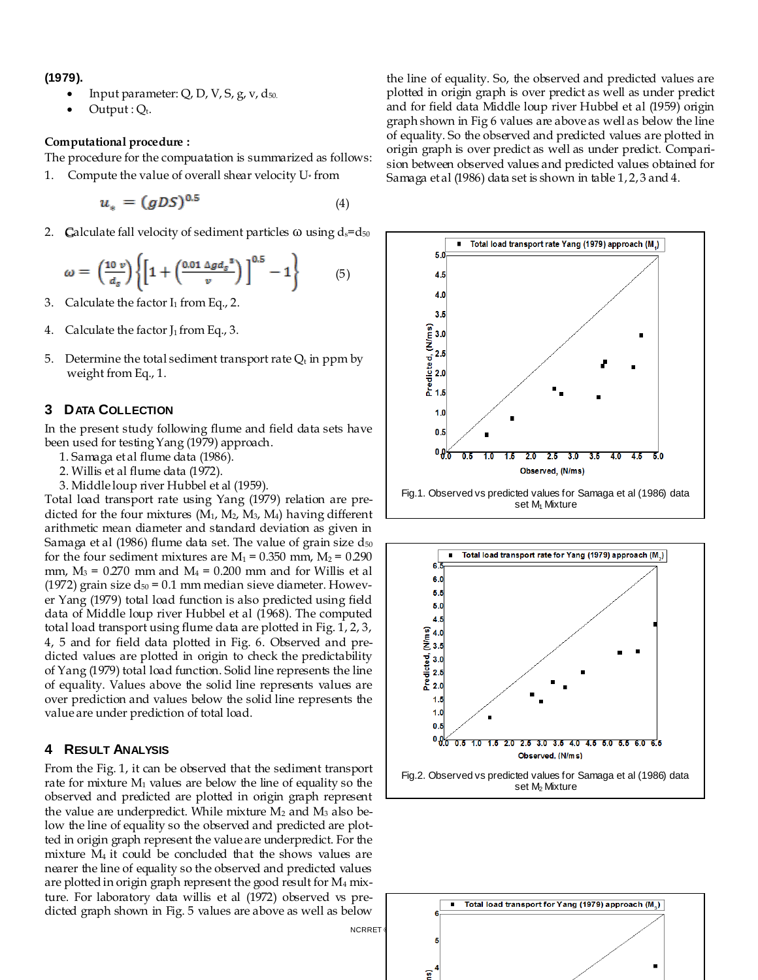**(1979).**

- Input parameter:  $Q$ ,  $D$ ,  $V$ ,  $S$ ,  $g$ ,  $v$ ,  $d_{50}$ .
- $Output: Q_t.$

## **Computational procedure :**

The procedure for the compuatation is summarized as follows:

1. Compute the value of overall shear velocity  $U^*$  from

$$
u_* = (gDS)^{0.5} \tag{4}
$$

2. Galculate fall velocity of sediment particles  $\omega$  using  $d_s = d_{50}$ 

$$
\omega = \left(\frac{10 v}{d_s}\right) \left\{ \left[1 + \left(\frac{0.01 \Delta g d_s^2}{v}\right)\right]^{0.5} - 1 \right\} \tag{5}
$$

- 3. Calculate the factor  $I_1$  from Eq., 2.
- 4. Calculate the factor  $J_1$  from Eq., 3.
- 5. Determine the total sediment transport rate  $Q_t$  in ppm by weight from Eq., 1.

#### **3 DATA COLLECTION**

In the present study following flume and field data sets have been used for testing Yang (1979) approach.

- 1. Samaga et al flume data (1986).
- 2. Willis et al flume data (1972).
- 3. Middle loup river Hubbel et al (1959).

Total load transport rate using Yang (1979) relation are predicted for the four mixtures  $(M_1, M_2, M_3, M_4)$  having different arithmetic mean diameter and standard deviation as given in Samaga et al (1986) flume data set. The value of grain size  $d_{50}$ for the four sediment mixtures are  $M_1 = 0.350$  mm,  $M_2 = 0.290$ mm,  $M_3$  = 0.270 mm and  $M_4$  = 0.200 mm and for Willis et al (1972) grain size  $d_{50} = 0.1$  mm median sieve diameter. However Yang (1979) total load function is also predicted using field data of Middle loup river Hubbel et al (1968). The computed total load transport using flume data are plotted in Fig. 1, 2, 3, 4, 5 and for field data plotted in Fig. 6. Observed and predicted values are plotted in origin to check the predictability of Yang (1979) total load function. Solid line represents the line of equality. Values above the solid line represents values are over prediction and values below the solid line represents the value are under prediction of total load.

#### **4 RESULT ANALYSIS**

From the Fig. 1, it can be observed that the sediment transport rate for mixture  $M_1$  values are below the line of equality so the observed and predicted are plotted in origin graph represent the value are underpredict. While mixture  $M_2$  and  $M_3$  also below the line of equality so the observed and predicted are plotted in origin graph represent the value are underpredict. For the mixture M4 it could be concluded that the shows values are nearer the line of equality so the observed and predicted values are plotted in origin graph represent the good result for M<sup>4</sup> mixture. For laboratory data willis et al (1972) observed vs predicted graph shown in Fig. 5 values are above as well as below

**NCRRET** 

the line of equality. So, the observed and predicted values are plotted in origin graph is over predict as well as under predict and for field data Middle loup river Hubbel et al (1959) origin graph shown in Fig 6 values are above as well as below the line of equality. So the observed and predicted values are plotted in origin graph is over predict as well as under predict. Comparision between observed values and predicted values obtained for Samaga et al (1986) data set is shown in table 1, 2, 3 and 4.





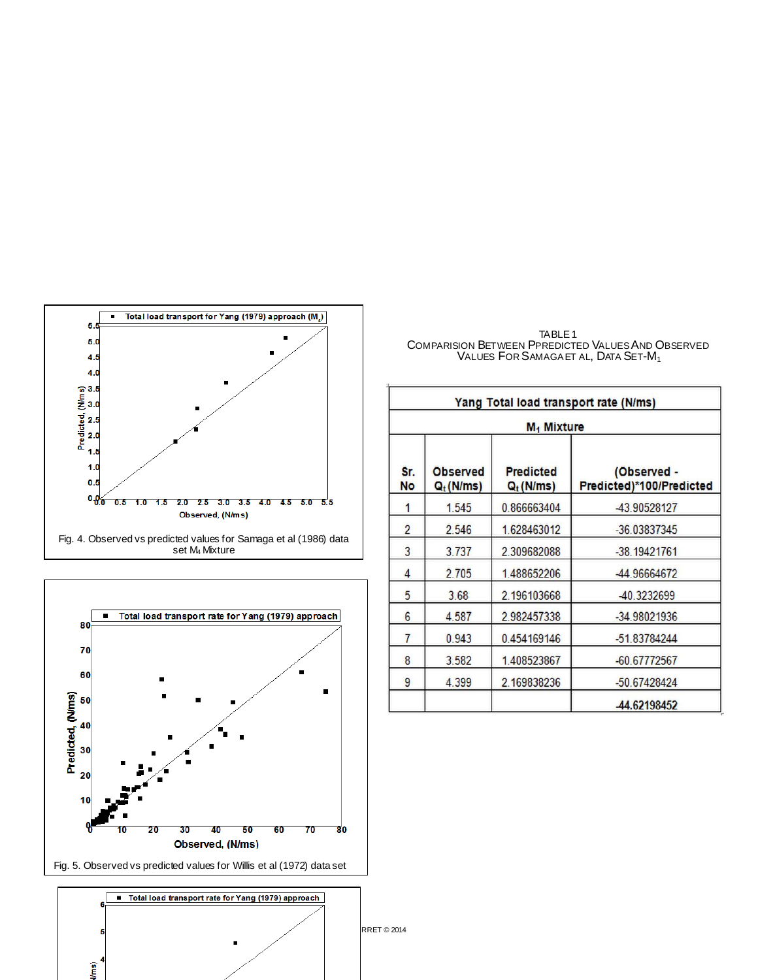



Vms)

TABLE 1<br>Comparision Between Ppredicted Values And Observed VALUES FOR SAMAGA ET AL, DATA SET-M<sub>1</sub>

| Yang Total load transport rate (N/ms)<br>$M_1$ Mixture |       |             |                |  |  |
|--------------------------------------------------------|-------|-------------|----------------|--|--|
|                                                        |       |             |                |  |  |
| 1                                                      | 1.545 | 0.866663404 | -43.90528127   |  |  |
| 2                                                      | 2.546 | 1.628463012 | -36.03837345   |  |  |
| 3                                                      | 3.737 | 2.309682088 | $-38.19421761$ |  |  |
| 4                                                      | 2.705 | 1.488652206 | -44.96664672   |  |  |
| 5                                                      | 3.68  | 2.196103668 | -40.3232699    |  |  |
| 6                                                      | 4.587 | 2.982457338 | -34.98021936   |  |  |
| 7                                                      | 0.943 | 0.454169146 | -51.83784244   |  |  |
| 8                                                      | 3.582 | 1.408523867 | -60.67772567   |  |  |
| 9                                                      | 4.399 | 2.169838236 | -50.67428424   |  |  |
|                                                        |       |             | 44.62198452    |  |  |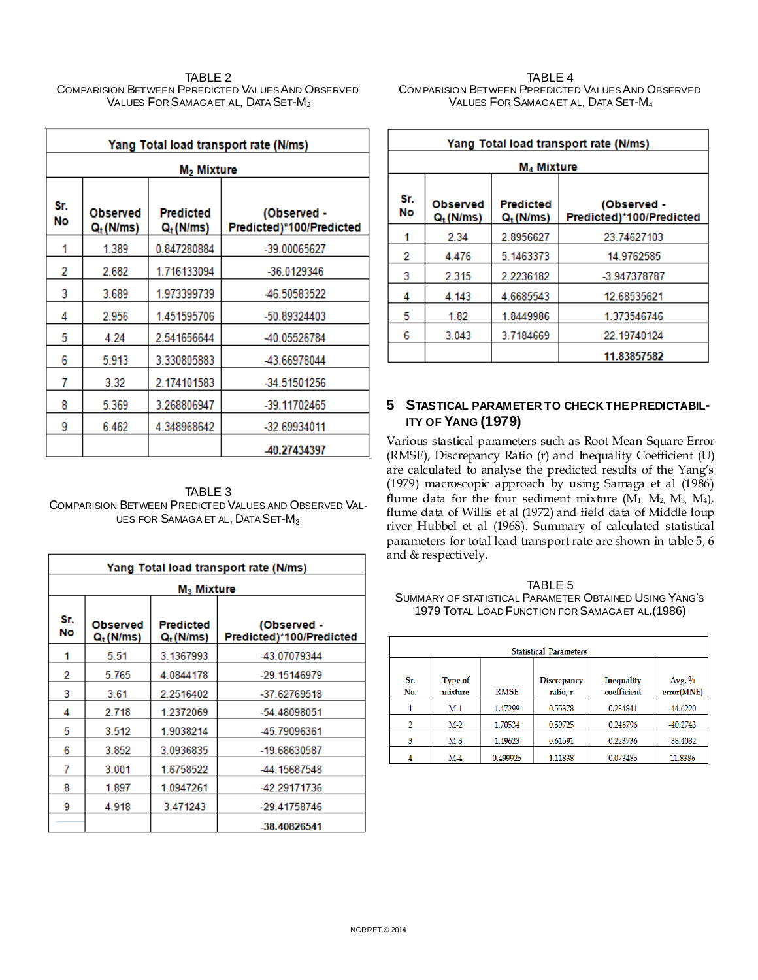#### TABLE 2 COMPARISION BETWEEN PPREDICTED VALUES AND OBSERVED VALUES FOR SAMAGA ET AL, DATA SET-M<sub>2</sub>

| Yang Total load transport rate (N/ms) |                                |                                 |                                         |  |  |  |
|---------------------------------------|--------------------------------|---------------------------------|-----------------------------------------|--|--|--|
|                                       | M <sub>2</sub> Mixture         |                                 |                                         |  |  |  |
| Sr.<br>No                             | <b>Observed</b><br>$Q_t(N/ms)$ | <b>Predicted</b><br>$Q_t(N/ms)$ | (Observed -<br>Predicted)*100/Predicted |  |  |  |
| 1                                     | 1.389                          | 0.847280884                     | -39.00065627                            |  |  |  |
| 2                                     | 2.682                          | 1.716133094                     | -36.0129346                             |  |  |  |
| 3                                     | 3.689                          | 1.973399739                     | -46.50583522                            |  |  |  |
| 4                                     | 2.956                          | 1.451595706                     | -50.89324403                            |  |  |  |
| 5                                     | 4.24                           | 2.541656644                     | -40.05526784                            |  |  |  |
| 6                                     | 5.913                          | 3.330805883                     | -43.66978044                            |  |  |  |
| 7                                     | 3.32                           | 2.174101583                     | -34.51501256                            |  |  |  |
| 8                                     | 5.369                          | 3.268806947                     | -39.11702465                            |  |  |  |
| 9                                     | 6.462                          | 4.348968642                     | -32.69934011                            |  |  |  |
|                                       | -40.27434397                   |                                 |                                         |  |  |  |

TABLE 3 COMPARISION BETWEEN PREDICTED VALUES AND OBSERVED VAL-UES FOR SAMAGA ET AL, DATA SET-M<sub>3</sub>

| Yang Total load transport rate (N/ms) |                                 |                                           |                                         |  |  |  |
|---------------------------------------|---------------------------------|-------------------------------------------|-----------------------------------------|--|--|--|
|                                       | $M_3$ Mixture                   |                                           |                                         |  |  |  |
| Sr.<br>No                             | <b>Observed</b><br>$Q_t$ (N/ms) | <b>Predicted</b><br>Q <sub>t</sub> (N/ms) | (Observed -<br>Predicted)*100/Predicted |  |  |  |
| 1                                     | 5.51                            | 3.1367993                                 | -43.07079344                            |  |  |  |
| 2                                     | 5.765                           | 4.0844178                                 | -29.15146979                            |  |  |  |
| 3                                     | 3.61                            | 2.2516402                                 | -37.62769518                            |  |  |  |
| 4                                     | 2.718                           | 1.2372069                                 | -54.48098051                            |  |  |  |
| 5                                     | 3.512                           | 1.9038214                                 | -45.79096361                            |  |  |  |
| 6                                     | 3.852                           | 3.0936835                                 | -19.68630587                            |  |  |  |
| 7                                     | 3.001                           | 1.6758522                                 | -44.15687548                            |  |  |  |
| 8                                     | 1.897                           | 1.0947261                                 | -42.29171736                            |  |  |  |
| 9                                     | 4.918                           | 3.471243                                  | -29.41758746                            |  |  |  |
|                                       |                                 |                                           | -38.40826541                            |  |  |  |

#### TABLE 4 COMPARISION BETWEEN PPREDICTED VALUES AND OBSERVED VALUES FOR SAMAGA ET AL, DATA SET-M<sup>4</sup>

| Yang Total load transport rate (N/ms)                                                                                      |             |           |              |  |  |  |
|----------------------------------------------------------------------------------------------------------------------------|-------------|-----------|--------------|--|--|--|
| M <sub>4</sub> Mixture                                                                                                     |             |           |              |  |  |  |
| Sr.<br><b>Predicted</b><br>(Observed -<br><b>Observed</b><br>No<br>Predicted)*100/Predicted<br>$Q_t(N/ms)$<br>$Q_t$ (N/ms) |             |           |              |  |  |  |
|                                                                                                                            | 2.34        | 2.8956627 | 23.74627103  |  |  |  |
| 2                                                                                                                          | 4.476       | 5.1463373 | 14.9762585   |  |  |  |
| 3                                                                                                                          | 2.315       | 2.2236182 | -3.947378787 |  |  |  |
| 4                                                                                                                          | 4.143       | 4.6685543 | 12.68535621  |  |  |  |
| 5                                                                                                                          | 1.82        | 1.8449986 | 1.373546746  |  |  |  |
| 6                                                                                                                          | 3.043       | 3.7184669 | 22.19740124  |  |  |  |
|                                                                                                                            | 11.83857582 |           |              |  |  |  |

# **5 STASTICAL PARAMETER TO CHECK THE PREDICTABIL-ITY OF YANG (1979)**

Various stastical parameters such as Root Mean Square Error (RMSE), Discrepancy Ratio (r) and Inequality Coefficient (U) are calculated to analyse the predicted results of the Yang's (1979) macroscopic approach by using Samaga et al (1986) flume data for the four sediment mixture  $(M_1, M_2, M_3, M_4)$ , flume data of Willis et al (1972) and field data of Middle loup river Hubbel et al (1968). Summary of calculated statistical parameters for total load transport rate are shown in table 5, 6 and & respectively.

TABLE 5 SUMMARY OF STATISTICAL PARAMETER OBTAINED USING YANG'S 1979 TOTAL LOAD FUNCTION FOR SAMAGA ET AL.(1986)

| <b>Statistical Parameters</b> |                    |             |                                |                           |                        |  |
|-------------------------------|--------------------|-------------|--------------------------------|---------------------------|------------------------|--|
| Sr.<br>No.                    | Type of<br>mixture | <b>RMSE</b> | <b>Discrepancy</b><br>ratio, r | Inequality<br>coefficient | Avg. $%$<br>error(MNE) |  |
|                               | M-1                | 1.47299     | 0.55378                        | 0.284841                  | -44.6220               |  |
| 2                             | M-2                | 1.70534     | 0.59725                        | 0.246796                  | -40.2743               |  |
| 3                             | $M-3$              | 1.49623     | 0.61591                        | 0.223736                  | $-38.4082$             |  |
|                               | M-4                | 0.499925    | 1.11838                        | 0.073485                  | 11.8386                |  |